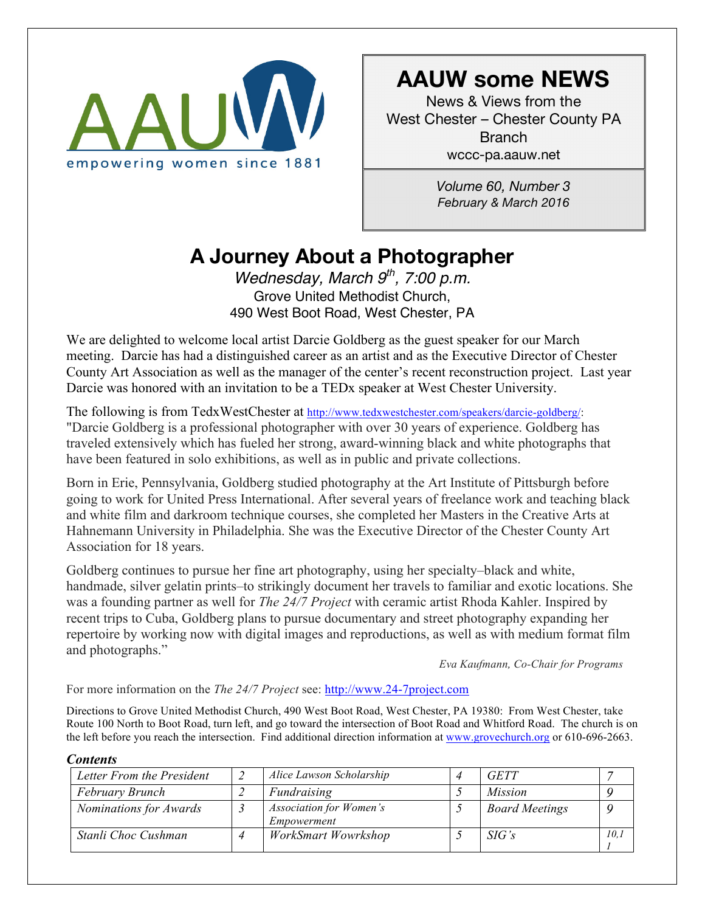

# **AAUW some NEWS**

News & Views from the West Chester – Chester County PA Branch wccc-pa.aauw.net

> *Volume 60, Number 3 February & March 2016*

# **A Journey About a Photographer**

*Wednesday, March 9th, 7:00 p.m.* Grove United Methodist Church, 490 West Boot Road, West Chester, PA

We are delighted to welcome local artist Darcie Goldberg as the guest speaker for our March meeting. Darcie has had a distinguished career as an artist and as the Executive Director of Chester County Art Association as well as the manager of the center's recent reconstruction project. Last year Darcie was honored with an invitation to be a TEDx speaker at West Chester University.

The following is from TedxWestChester at http://www.tedxwestchester.com/speakers/darcie-goldberg/: "Darcie Goldberg is a professional photographer with over 30 years of experience. Goldberg has traveled extensively which has fueled her strong, award-winning black and white photographs that have been featured in solo exhibitions, as well as in public and private collections.

Born in Erie, Pennsylvania, Goldberg studied photography at the Art Institute of Pittsburgh before going to work for United Press International. After several years of freelance work and teaching black and white film and darkroom technique courses, she completed her Masters in the Creative Arts at Hahnemann University in Philadelphia. She was the Executive Director of the Chester County Art Association for 18 years.

Goldberg continues to pursue her fine art photography, using her specialty–black and white, handmade, silver gelatin prints–to strikingly document her travels to familiar and exotic locations. She was a founding partner as well for *The 24/7 Project* with ceramic artist Rhoda Kahler. Inspired by recent trips to Cuba, Goldberg plans to pursue documentary and street photography expanding her repertoire by working now with digital images and reproductions, as well as with medium format film and photographs."

*Eva Kaufmann, Co-Chair for Programs*

For more information on the *The 24/7 Project* see: http://www.24-7project.com

Directions to Grove United Methodist Church, 490 West Boot Road, West Chester, PA 19380: From West Chester, take Route 100 North to Boot Road, turn left, and go toward the intersection of Boot Road and Whitford Road. The church is on the left before you reach the intersection. Find additional direction information at www.grovechurch.org or 610-696-2663.

| Letter From the President |  | Alice Lawson Scholarship                      |  | <b>GETT</b>           |       |  |
|---------------------------|--|-----------------------------------------------|--|-----------------------|-------|--|
| February Brunch           |  | Fundraising                                   |  | <i>Mission</i>        |       |  |
| Nominations for Awards    |  | <b>Association for Women's</b><br>Empowerment |  | <b>Board Meetings</b> |       |  |
| Stanli Choc Cushman       |  | WorkSmart Wowrkshop                           |  | SIG's                 | 10. i |  |

#### *Contents*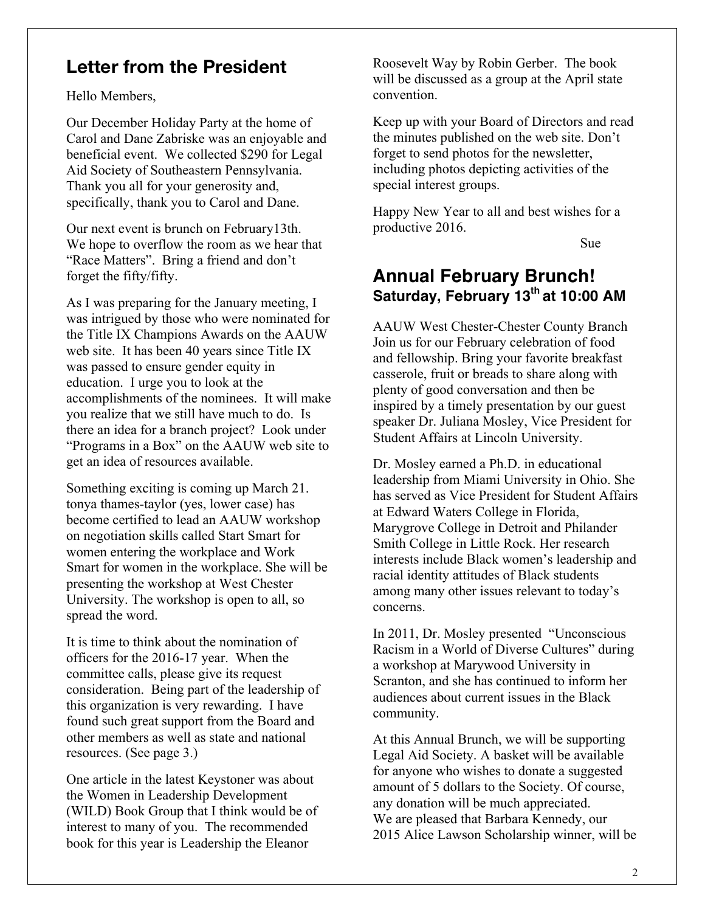### **Letter from the President**

Hello Members,

Our December Holiday Party at the home of Carol and Dane Zabriske was an enjoyable and beneficial event. We collected \$290 for Legal Aid Society of Southeastern Pennsylvania. Thank you all for your generosity and, specifically, thank you to Carol and Dane.

Our next event is brunch on February13th. We hope to overflow the room as we hear that "Race Matters". Bring a friend and don't forget the fifty/fifty.

As I was preparing for the January meeting, I was intrigued by those who were nominated for the Title IX Champions Awards on the AAUW web site. It has been 40 years since Title IX was passed to ensure gender equity in education. I urge you to look at the accomplishments of the nominees. It will make you realize that we still have much to do. Is there an idea for a branch project? Look under "Programs in a Box" on the AAUW web site to get an idea of resources available.

Something exciting is coming up March 21. tonya thames-taylor (yes, lower case) has become certified to lead an AAUW workshop on negotiation skills called Start Smart for women entering the workplace and Work Smart for women in the workplace. She will be presenting the workshop at West Chester University. The workshop is open to all, so spread the word.

It is time to think about the nomination of officers for the 2016-17 year. When the committee calls, please give its request consideration. Being part of the leadership of this organization is very rewarding. I have found such great support from the Board and other members as well as state and national resources. (See page 3.)

One article in the latest Keystoner was about the Women in Leadership Development (WILD) Book Group that I think would be of interest to many of you. The recommended book for this year is Leadership the Eleanor

Roosevelt Way by Robin Gerber. The book will be discussed as a group at the April state convention.

Keep up with your Board of Directors and read the minutes published on the web site. Don't forget to send photos for the newsletter, including photos depicting activities of the special interest groups.

Happy New Year to all and best wishes for a productive 2016.

Sue

### **Annual February Brunch! Saturday, February 13th at 10:00 AM**

AAUW West Chester-Chester County Branch Join us for our February celebration of food and fellowship. Bring your favorite breakfast casserole, fruit or breads to share along with plenty of good conversation and then be inspired by a timely presentation by our guest speaker Dr. Juliana Mosley, Vice President for Student Affairs at Lincoln University.

Dr. Mosley earned a Ph.D. in educational leadership from Miami University in Ohio. She has served as Vice President for Student Affairs at Edward Waters College in Florida, Marygrove College in Detroit and Philander Smith College in Little Rock. Her research interests include Black women's leadership and racial identity attitudes of Black students among many other issues relevant to today's concerns.

In 2011, Dr. Mosley presented "Unconscious Racism in a World of Diverse Cultures" during a workshop at Marywood University in Scranton, and she has continued to inform her audiences about current issues in the Black community.

At this Annual Brunch, we will be supporting Legal Aid Society. A basket will be available for anyone who wishes to donate a suggested amount of 5 dollars to the Society. Of course, any donation will be much appreciated. We are pleased that Barbara Kennedy, our 2015 Alice Lawson Scholarship winner, will be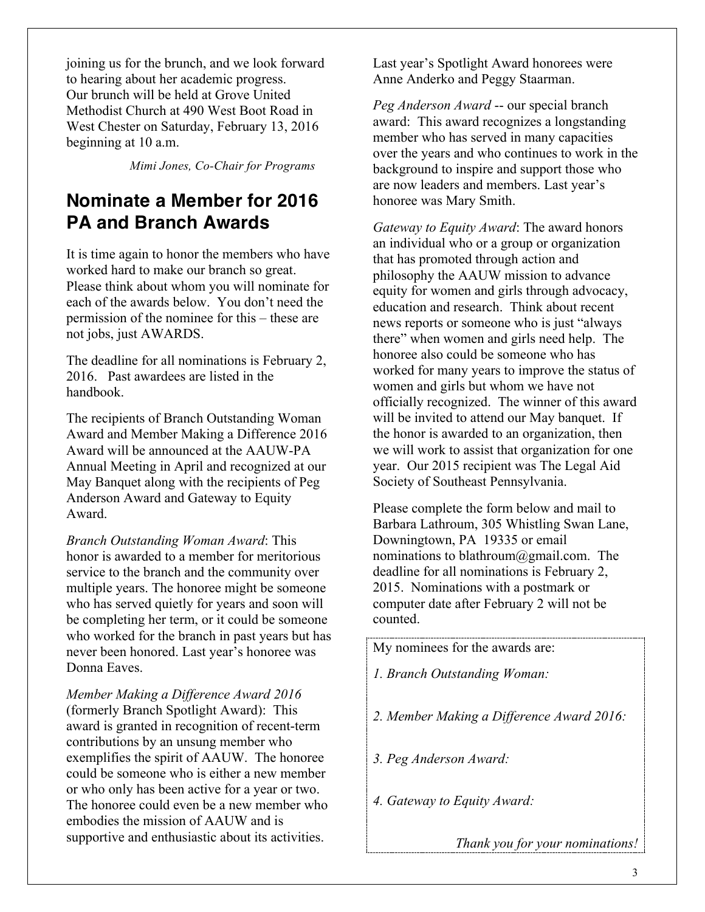joining us for the brunch, and we look forward to hearing about her academic progress. Our brunch will be held at Grove United Methodist Church at 490 West Boot Road in West Chester on Saturday, February 13, 2016 beginning at 10 a.m.

 *Mimi Jones, Co-Chair for Programs*

## **Nominate a Member for 2016 PA and Branch Awards**

It is time again to honor the members who have worked hard to make our branch so great. Please think about whom you will nominate for each of the awards below. You don't need the permission of the nominee for this – these are not jobs, just AWARDS.

The deadline for all nominations is February 2, 2016. Past awardees are listed in the handbook.

The recipients of Branch Outstanding Woman Award and Member Making a Difference 2016 Award will be announced at the AAUW-PA Annual Meeting in April and recognized at our May Banquet along with the recipients of Peg Anderson Award and Gateway to Equity Award.

*Branch Outstanding Woman Award*: This honor is awarded to a member for meritorious service to the branch and the community over multiple years. The honoree might be someone who has served quietly for years and soon will be completing her term, or it could be someone who worked for the branch in past years but has never been honored. Last year's honoree was Donna Eaves.

*Member Making a Difference Award 2016* (formerly Branch Spotlight Award): This award is granted in recognition of recent-term contributions by an unsung member who exemplifies the spirit of AAUW. The honoree could be someone who is either a new member or who only has been active for a year or two. The honoree could even be a new member who embodies the mission of AAUW and is supportive and enthusiastic about its activities.

Last year's Spotlight Award honorees were Anne Anderko and Peggy Staarman.

*Peg Anderson Award* -- our special branch award: This award recognizes a longstanding member who has served in many capacities over the years and who continues to work in the background to inspire and support those who are now leaders and members. Last year's honoree was Mary Smith.

*Gateway to Equity Award*: The award honors an individual who or a group or organization that has promoted through action and philosophy the AAUW mission to advance equity for women and girls through advocacy, education and research. Think about recent news reports or someone who is just "always there" when women and girls need help. The honoree also could be someone who has worked for many years to improve the status of women and girls but whom we have not officially recognized. The winner of this award will be invited to attend our May banquet. If the honor is awarded to an organization, then we will work to assist that organization for one year. Our 2015 recipient was The Legal Aid Society of Southeast Pennsylvania.

Please complete the form below and mail to Barbara Lathroum, 305 Whistling Swan Lane, Downingtown, PA 19335 or email nominations to blathroum@gmail.com. The deadline for all nominations is February 2, 2015. Nominations with a postmark or computer date after February 2 will not be counted.

My nominees for the awards are:

- *1. Branch Outstanding Woman:*
- *2. Member Making a Difference Award 2016:*
- *3. Peg Anderson Award:*
- *4. Gateway to Equity Award:*

*Thank you for your nominations!*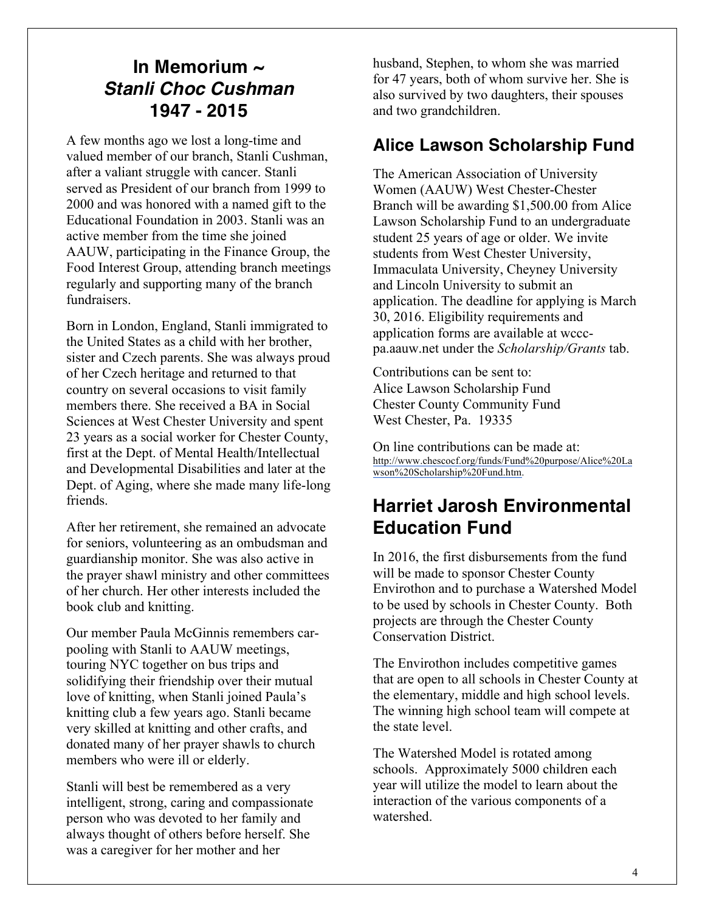## **In Memorium ~** *Stanli Choc Cushman* **1947 - 2015**

A few months ago we lost a long-time and valued member of our branch, Stanli Cushman, after a valiant struggle with cancer. Stanli served as President of our branch from 1999 to 2000 and was honored with a named gift to the Educational Foundation in 2003. Stanli was an active member from the time she joined AAUW, participating in the Finance Group, the Food Interest Group, attending branch meetings regularly and supporting many of the branch fundraisers.

Born in London, England, Stanli immigrated to the United States as a child with her brother, sister and Czech parents. She was always proud of her Czech heritage and returned to that country on several occasions to visit family members there. She received a BA in Social Sciences at West Chester University and spent 23 years as a social worker for Chester County, first at the Dept. of Mental Health/Intellectual and Developmental Disabilities and later at the Dept. of Aging, where she made many life-long friends.

After her retirement, she remained an advocate for seniors, volunteering as an ombudsman and guardianship monitor. She was also active in the prayer shawl ministry and other committees of her church. Her other interests included the book club and knitting.

Our member Paula McGinnis remembers carpooling with Stanli to AAUW meetings, touring NYC together on bus trips and solidifying their friendship over their mutual love of knitting, when Stanli joined Paula's knitting club a few years ago. Stanli became very skilled at knitting and other crafts, and donated many of her prayer shawls to church members who were ill or elderly.

Stanli will best be remembered as a very intelligent, strong, caring and compassionate person who was devoted to her family and always thought of others before herself. She was a caregiver for her mother and her

husband, Stephen, to whom she was married for 47 years, both of whom survive her. She is also survived by two daughters, their spouses and two grandchildren.

### **Alice Lawson Scholarship Fund**

The American Association of University Women (AAUW) West Chester-Chester Branch will be awarding \$1,500.00 from Alice Lawson Scholarship Fund to an undergraduate student 25 years of age or older. We invite students from West Chester University, Immaculata University, Cheyney University and Lincoln University to submit an application. The deadline for applying is March 30, 2016. Eligibility requirements and application forms are available at wcccpa.aauw.net under the *Scholarship/Grants* tab.

Contributions can be sent to: Alice Lawson Scholarship Fund Chester County Community Fund West Chester, Pa. 19335

On line contributions can be made at: http://www.chescocf.org/funds/Fund%20purpose/Alice%20La wson%20Scholarship%20Fund.htm.

## **Harriet Jarosh Environmental Education Fund**

In 2016, the first disbursements from the fund will be made to sponsor Chester County Envirothon and to purchase a Watershed Model to be used by schools in Chester County. Both projects are through the Chester County Conservation District.

The Envirothon includes competitive games that are open to all schools in Chester County at the elementary, middle and high school levels. The winning high school team will compete at the state level.

The Watershed Model is rotated among schools. Approximately 5000 children each year will utilize the model to learn about the interaction of the various components of a watershed.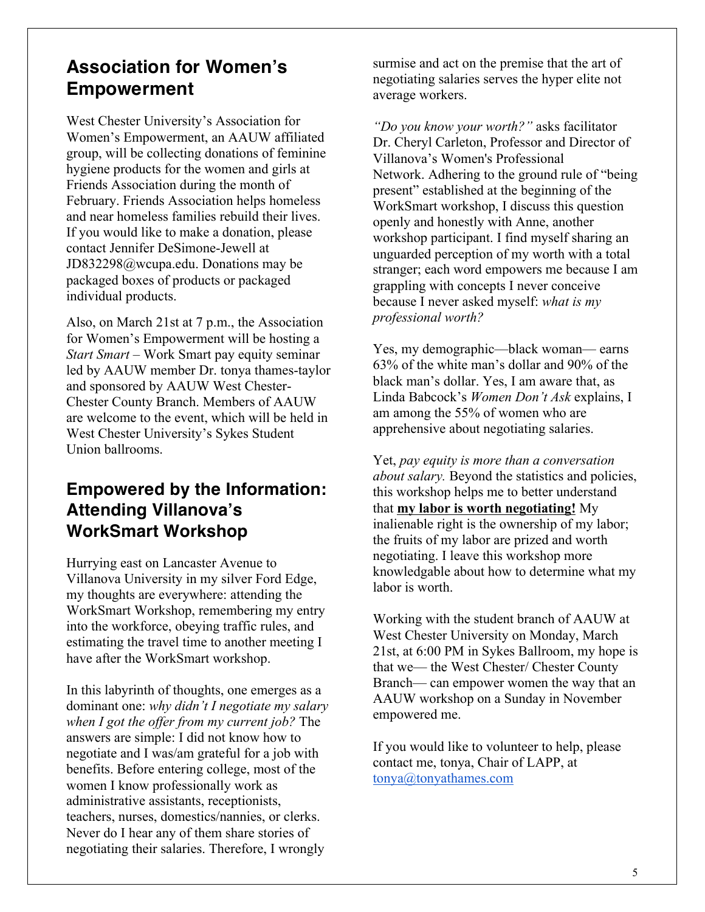## **Association for Women's Empowerment**

West Chester University's Association for Women's Empowerment, an AAUW affiliated group, will be collecting donations of feminine hygiene products for the women and girls at Friends Association during the month of February. Friends Association helps homeless and near homeless families rebuild their lives. If you would like to make a donation, please contact Jennifer DeSimone-Jewell at JD832298@wcupa.edu. Donations may be packaged boxes of products or packaged individual products.

Also, on March 21st at 7 p.m., the Association for Women's Empowerment will be hosting a *Start Smart* – Work Smart pay equity seminar led by AAUW member Dr. tonya thames-taylor and sponsored by AAUW West Chester-Chester County Branch. Members of AAUW are welcome to the event, which will be held in West Chester University's Sykes Student Union ballrooms.

### **Empowered by the Information: Attending Villanova's WorkSmart Workshop**

Hurrying east on Lancaster Avenue to Villanova University in my silver Ford Edge, my thoughts are everywhere: attending the WorkSmart Workshop, remembering my entry into the workforce, obeying traffic rules, and estimating the travel time to another meeting I have after the WorkSmart workshop.

In this labyrinth of thoughts, one emerges as a dominant one: *why didn't I negotiate my salary when I got the offer from my current job?* The answers are simple: I did not know how to negotiate and I was/am grateful for a job with benefits. Before entering college, most of the women I know professionally work as administrative assistants, receptionists, teachers, nurses, domestics/nannies, or clerks. Never do I hear any of them share stories of negotiating their salaries. Therefore, I wrongly

surmise and act on the premise that the art of negotiating salaries serves the hyper elite not average workers.

*"Do you know your worth?"* asks facilitator Dr. Cheryl Carleton, Professor and Director of Villanova's Women's Professional Network. Adhering to the ground rule of "being present" established at the beginning of the WorkSmart workshop, I discuss this question openly and honestly with Anne, another workshop participant. I find myself sharing an unguarded perception of my worth with a total stranger; each word empowers me because I am grappling with concepts I never conceive because I never asked myself: *what is my professional worth?*

Yes, my demographic—black woman— earns 63% of the white man's dollar and 90% of the black man's dollar. Yes, I am aware that, as Linda Babcock's *Women Don't Ask* explains, I am among the 55% of women who are apprehensive about negotiating salaries.

Yet, *pay equity is more than a conversation about salary.* Beyond the statistics and policies, this workshop helps me to better understand that **my labor is worth negotiating!** My inalienable right is the ownership of my labor; the fruits of my labor are prized and worth negotiating. I leave this workshop more knowledgable about how to determine what my labor is worth.

Working with the student branch of AAUW at West Chester University on Monday, March 21st, at 6:00 PM in Sykes Ballroom, my hope is that we— the West Chester/ Chester County Branch— can empower women the way that an AAUW workshop on a Sunday in November empowered me.

If you would like to volunteer to help, please contact me, tonya, Chair of LAPP, at tonya@tonyathames.com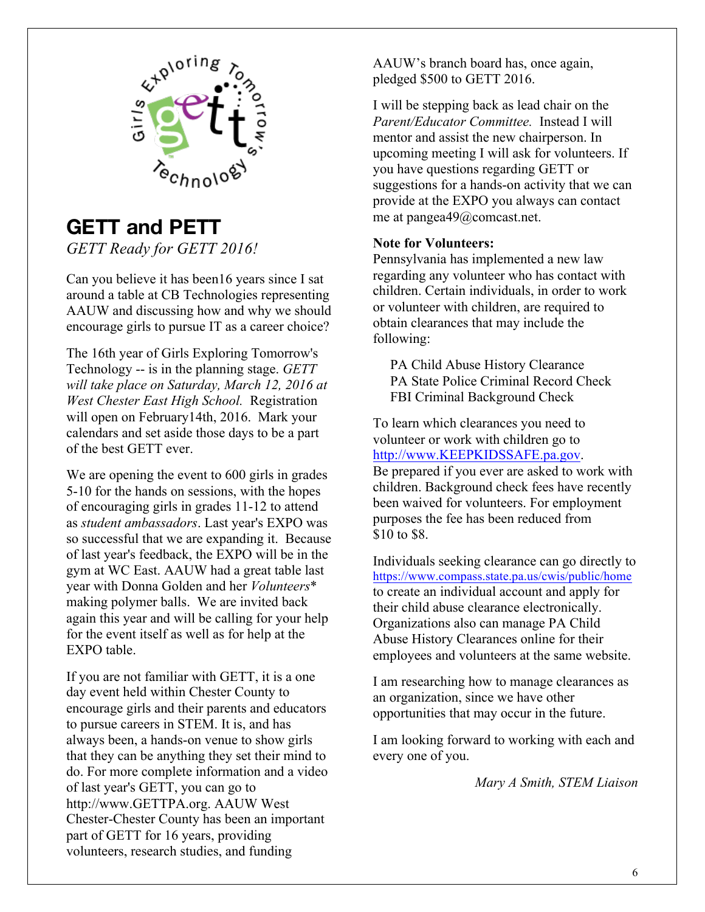

### **GETT and PETT** *GETT Ready for GETT 2016!*

Can you believe it has been16 years since I sat around a table at CB Technologies representing AAUW and discussing how and why we should encourage girls to pursue IT as a career choice?

The 16th year of Girls Exploring Tomorrow's Technology -- is in the planning stage. *GETT will take place on Saturday, March 12, 2016 at West Chester East High School.* Registration will open on February14th, 2016. Mark your calendars and set aside those days to be a part of the best GETT ever.

We are opening the event to 600 girls in grades 5-10 for the hands on sessions, with the hopes of encouraging girls in grades 11-12 to attend as *student ambassadors*. Last year's EXPO was so successful that we are expanding it. Because of last year's feedback, the EXPO will be in the gym at WC East. AAUW had a great table last year with Donna Golden and her *Volunteers*\* making polymer balls. We are invited back again this year and will be calling for your help for the event itself as well as for help at the EXPO table.

If you are not familiar with GETT, it is a one day event held within Chester County to encourage girls and their parents and educators to pursue careers in STEM. It is, and has always been, a hands-on venue to show girls that they can be anything they set their mind to do. For more complete information and a video of last year's GETT, you can go to http://www.GETTPA.org. AAUW West Chester-Chester County has been an important part of GETT for 16 years, providing volunteers, research studies, and funding

AAUW's branch board has, once again, pledged \$500 to GETT 2016.

I will be stepping back as lead chair on the *Parent/Educator Committee.* Instead I will mentor and assist the new chairperson. In upcoming meeting I will ask for volunteers. If you have questions regarding GETT or suggestions for a hands-on activity that we can provide at the EXPO you always can contact me at pangea49@comcast.net.

#### **Note for Volunteers:**

Pennsylvania has implemented a new law regarding any volunteer who has contact with children. Certain individuals, in order to work or volunteer with children, are required to obtain clearances that may include the following:

 PA Child Abuse History Clearance PA State Police Criminal Record Check FBI Criminal Background Check

To learn which clearances you need to volunteer or work with children go to http://www.KEEPKIDSSAFE.pa.gov. Be prepared if you ever are asked to work with children. Background check fees have recently been waived for volunteers. For employment purposes the fee has been reduced from \$10 to \$8.

Individuals seeking clearance can go directly to https://www.compass.state.pa.us/cwis/public/home to create an individual account and apply for their child abuse clearance electronically. Organizations also can manage PA Child Abuse History Clearances online for their employees and volunteers at the same website.

I am researching how to manage clearances as an organization, since we have other opportunities that may occur in the future.

I am looking forward to working with each and every one of you.

*Mary A Smith, STEM Liaison*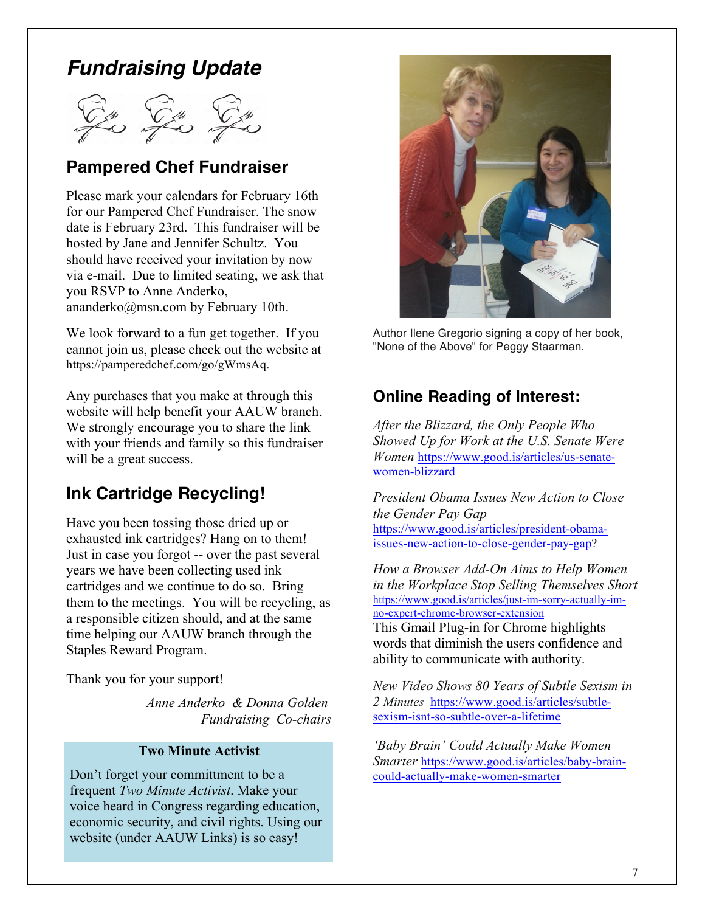## *Fundraising Update*

### **Pampered Chef Fundraiser**

Please mark your calendars for February 16th for our Pampered Chef Fundraiser. The snow date is February 23rd. This fundraiser will be hosted by Jane and Jennifer Schultz. You should have received your invitation by now via e-mail. Due to limited seating, we ask that you RSVP to Anne Anderko, ananderko@msn.com by February 10th.

We look forward to a fun get together. If you cannot join us, please check out the website at https://pamperedchef.com/go/gWmsAq.

Any purchases that you make at through this website will help benefit your AAUW branch. We strongly encourage you to share the link with your friends and family so this fundraiser will be a great success.

### **Ink Cartridge Recycling!**

Have you been tossing those dried up or exhausted ink cartridges? Hang on to them! Just in case you forgot -- over the past several years we have been collecting used ink cartridges and we continue to do so. Bring them to the meetings. You will be recycling, as a responsible citizen should, and at the same time helping our AAUW branch through the Staples Reward Program.

Thank you for your support!

*Anne Anderko & Donna Golden Fundraising Co-chairs*

#### **Two Minute Activist**

Don't forget your committment to be a frequent *Two Minute Activist*. Make your voice heard in Congress regarding education, economic security, and civil rights. Using our website (under AAUW Links) is so easy!



Author Ilene Gregorio signing a copy of her book, "None of the Above" for Peggy Staarman.

### **Online Reading of Interest:**

*After the Blizzard, the Only People Who Showed Up for Work at the U.S. Senate Were Women* https://www.good.is/articles/us-senatewomen-blizzard

*President Obama Issues New Action to Close the Gender Pay Gap* https://www.good.is/articles/president-obamaissues-new-action-to-close-gender-pay-gap?

*How a Browser Add-On Aims to Help Women in the Workplace Stop Selling Themselves Short* https://www.good.is/articles/just-im-sorry-actually-imno-expert-chrome-browser-extension This Gmail Plug-in for Chrome highlights

words that diminish the users confidence and ability to communicate with authority.

*New Video Shows 80 Years of Subtle Sexism in 2 Minutes* https://www.good.is/articles/subtlesexism-isnt-so-subtle-over-a-lifetime

*'Baby Brain' Could Actually Make Women Smarter* https://www.good.is/articles/baby-braincould-actually-make-women-smarter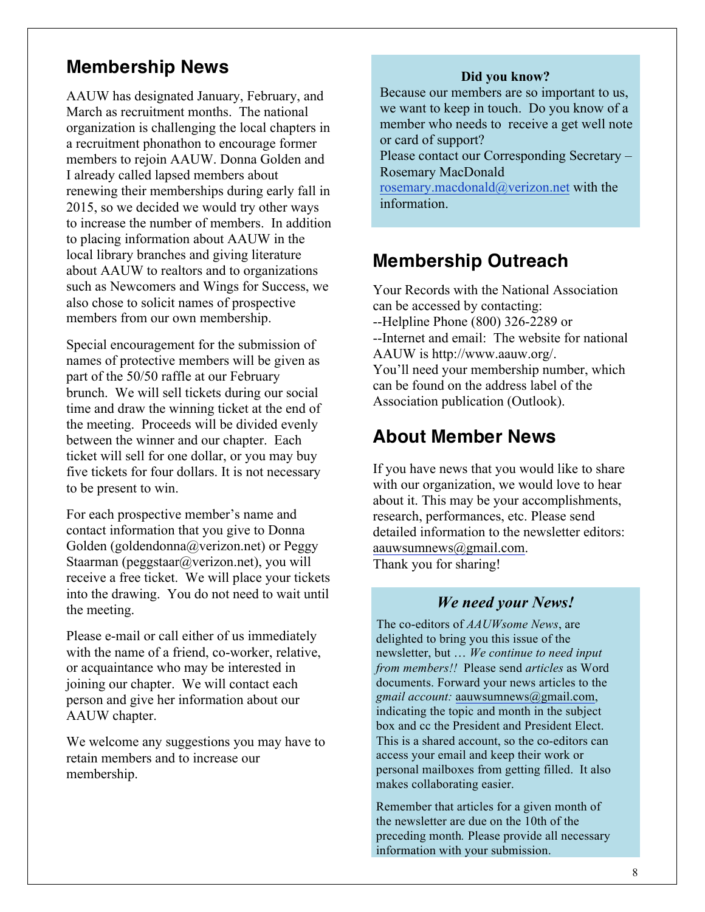### **Membership News**

AAUW has designated January, February, and March as recruitment months. The national organization is challenging the local chapters in a recruitment phonathon to encourage former members to rejoin AAUW. Donna Golden and I already called lapsed members about renewing their memberships during early fall in 2015, so we decided we would try other ways to increase the number of members. In addition to placing information about AAUW in the local library branches and giving literature about AAUW to realtors and to organizations such as Newcomers and Wings for Success, we also chose to solicit names of prospective members from our own membership.

Special encouragement for the submission of names of protective members will be given as part of the 50/50 raffle at our February brunch. We will sell tickets during our social time and draw the winning ticket at the end of the meeting. Proceeds will be divided evenly between the winner and our chapter. Each ticket will sell for one dollar, or you may buy five tickets for four dollars. It is not necessary to be present to win.

For each prospective member's name and contact information that you give to Donna Golden (goldendonna@verizon.net) or Peggy Staarman (peggstaar@verizon.net), you will receive a free ticket. We will place your tickets into the drawing. You do not need to wait until the meeting.

Please e-mail or call either of us immediately with the name of a friend, co-worker, relative, or acquaintance who may be interested in joining our chapter. We will contact each person and give her information about our AAUW chapter.

We welcome any suggestions you may have to retain members and to increase our membership.

#### **Did you know?**

 Because our members are so important to us, we want to keep in touch. Do you know of a member who needs to receive a get well note or card of support?

 Please contact our Corresponding Secretary – Rosemary MacDonald

 rosemary.macdonald@verizon.net with the information.

### **Membership Outreach**

Your Records with the National Association can be accessed by contacting: --Helpline Phone (800) 326-2289 or --Internet and email: The website for national AAUW is http://www.aauw.org/. You'll need your membership number, which can be found on the address label of the Association publication (Outlook).

### **About Member News**

If you have news that you would like to share with our organization, we would love to hear about it. This may be your accomplishments, research, performances, etc. Please send detailed information to the newsletter editors: aauwsumnews@gmail.com. Thank you for sharing!

### *We need your News!*

The co-editors of *AAUWsome News*, are delighted to bring you this issue of the newsletter, but … *We continue to need input from members!!* Please send *articles* as Word documents. Forward your news articles to the *gmail account:* aauwsumnews@gmail.com, indicating the topic and month in the subject box and cc the President and President Elect. This is a shared account, so the co-editors can access your email and keep their work or personal mailboxes from getting filled. It also makes collaborating easier.

Remember that articles for a given month of the newsletter are due on the 10th of the preceding month*.* Please provide all necessary information with your submission.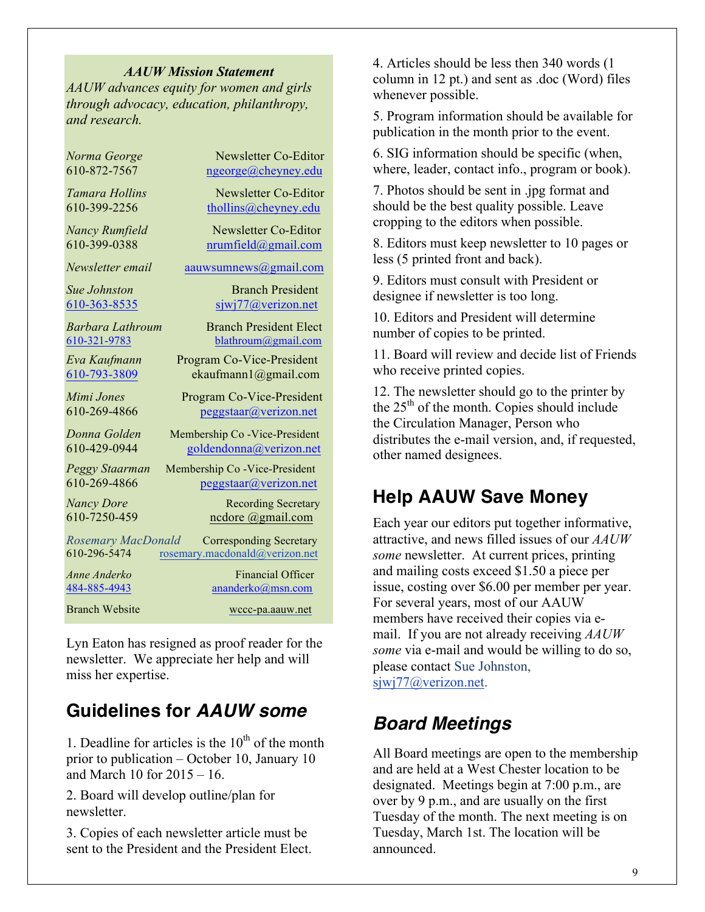#### *AAUW Mission Statement*

*AAUW advances equity for women and girls through advocacy, education, philanthropy, and research.*

| Norma George              | <b>Newsletter Co-Editor</b>    |
|---------------------------|--------------------------------|
| 610-872-7567              | ngeorge@cheyney.edu            |
| Tamara Hollins            | Newsletter Co-Editor           |
| 610-399-2256              | thollins@cheyney.edu           |
| <b>Nancy Rumfield</b>     | Newsletter Co-Editor           |
| 610-399-0388              | nrumfield@gmail.com            |
| Newsletter email          | aauwsumnews@gmail.com          |
| <b>Sue Johnston</b>       | <b>Branch President</b>        |
| 610-363-8535              | siwi77@verizon.net             |
| Barbara Lathroum          | <b>Branch President Elect</b>  |
| 610-321-9783              | blathroum@gmail.com            |
| Eva Kaufmann              | Program Co-Vice-President      |
| 610-793-3809              | ekaufmann1@gmail.com           |
| Mimi Jones                | Program Co-Vice-President      |
| 610-269-4866              | peggstaar@verizon.net          |
| Donna Golden              | Membership Co -Vice-President  |
| 610-429-0944              | goldendonna@verizon.net        |
| Peggy Staarman            | Membership Co - Vice-President |
| 610-269-4866              | pegstaar@verizon.net           |
| <b>Nancy Dore</b>         | <b>Recording Secretary</b>     |
| 610-7250-459              | ncdore @gmail.com              |
| <b>Rosemary MacDonald</b> | <b>Corresponding Secretary</b> |
| 610-296-5474              | rosemary.macdonald@verizon.net |
| Anne Anderko              | <b>Financial Officer</b>       |
| 484-885-4943              | ananderko@msn.com              |
| <b>Branch Website</b>     | wccc-pa.aauw.net               |

Lyn Eaton has resigned as proof reader for the newsletter. We appreciate her help and will miss her expertise.

### **Guidelines for** *AAUW some*

1. Deadline for articles is the  $10<sup>th</sup>$  of the month prior to publication – October 10, January 10 and March 10 for 2015 – 16.

2. Board will develop outline/plan for newsletter.

3. Copies of each newsletter article must be sent to the President and the President Elect. 4. Articles should be less then 340 words (1 column in 12 pt.) and sent as .doc (Word) files whenever possible.

5. Program information should be available for publication in the month prior to the event.

6. SIG information should be specific (when, where, leader, contact info., program or book).

7. Photos should be sent in .jpg format and should be the best quality possible. Leave cropping to the editors when possible.

8. Editors must keep newsletter to 10 pages or less (5 printed front and back).

9. Editors must consult with President or designee if newsletter is too long.

10. Editors and President will determine number of copies to be printed.

11. Board will review and decide list of Friends who receive printed copies.

12. The newsletter should go to the printer by the  $25<sup>th</sup>$  of the month. Copies should include the Circulation Manager, Person who distributes the e-mail version, and, if requested, other named designees.

## **Help AAUW Save Money**

Each year our editors put together informative, attractive, and news filled issues of our *AAUW some* newsletter. At current prices, printing and mailing costs exceed \$1.50 a piece per issue, costing over \$6.00 per member per year. For several years, most of our AAUW members have received their copies via email. If you are not already receiving *AAUW some* via e-mail and would be willing to do so, please contact Sue Johnston, sjwj77@verizon.net.

## *Board Meetings*

All Board meetings are open to the membership and are held at a West Chester location to be designated. Meetings begin at 7:00 p.m., are over by 9 p.m., and are usually on the first Tuesday of the month. The next meeting is on Tuesday, March 1st. The location will be announced.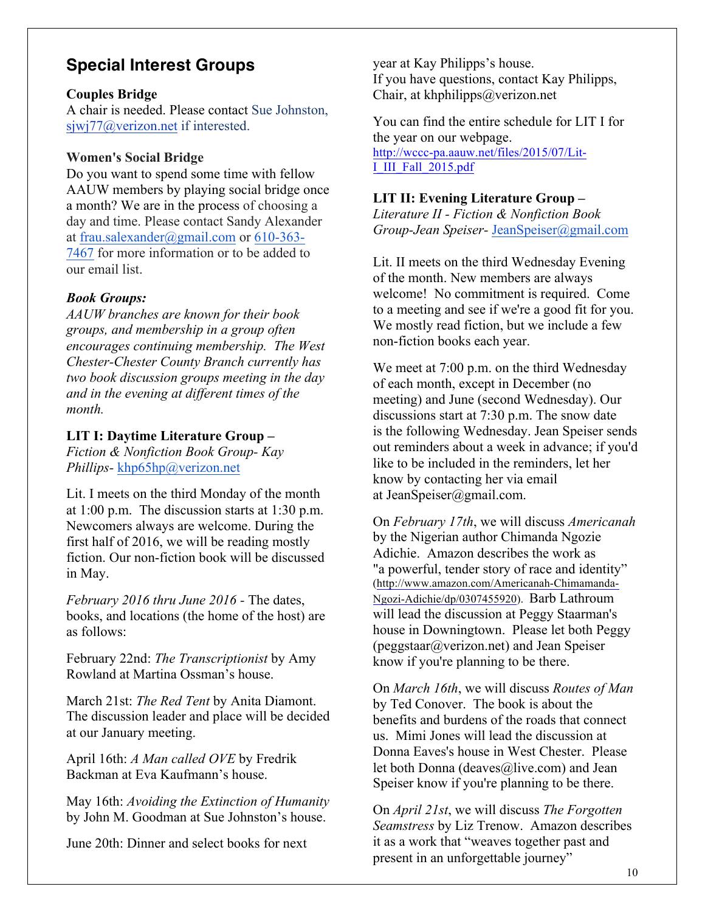### **Special Interest Groups**

### **Couples Bridge**

A chair is needed. Please contact Sue Johnston, sjwj77@verizon.net if interested.

### **Women's Social Bridge**

Do you want to spend some time with fellow AAUW members by playing social bridge once a month? We are in the process of choosing a day and time. Please contact Sandy Alexander at frau.salexander@gmail.com or 610-363- 7467 for more information or to be added to our email list.

### *Book Groups:*

*AAUW branches are known for their book groups, and membership in a group often encourages continuing membership. The West Chester-Chester County Branch currently has two book discussion groups meeting in the day and in the evening at different times of the month.* 

### **LIT I: Daytime Literature Group –**

*Fiction & Nonfiction Book Group- Kay Phillips-* khp65hp@verizon.net

Lit. I meets on the third Monday of the month at 1:00 p.m. The discussion starts at 1:30 p.m. Newcomers always are welcome. During the first half of 2016, we will be reading mostly fiction. Our non-fiction book will be discussed in May.

*February 2016 thru June 2016 -* The dates, books, and locations (the home of the host) are as follows:

February 22nd: *The Transcriptionist* by Amy Rowland at Martina Ossman's house.

March 21st: *The Red Tent* by Anita Diamont. The discussion leader and place will be decided at our January meeting.

April 16th: *A Man called OVE* by Fredrik Backman at Eva Kaufmann's house.

May 16th: *Avoiding the Extinction of Humanity* by John M. Goodman at Sue Johnston's house.

June 20th: Dinner and select books for next

year at Kay Philipps's house. If you have questions, contact Kay Philipps, Chair, at khphilipps@verizon.net

You can find the entire schedule for LIT I for the year on our webpage. http://wccc-pa.aauw.net/files/2015/07/Lit-I\_III\_Fall\_2015.pdf

### **LIT II: Evening Literature Group –**

*Literature II - Fiction & Nonfiction Book Group-Jean Speiser-* JeanSpeiser@gmail.com

Lit. II meets on the third Wednesday Evening of the month. New members are always welcome! No commitment is required. Come to a meeting and see if we're a good fit for you. We mostly read fiction, but we include a few non-fiction books each year.

We meet at 7:00 p.m. on the third Wednesday of each month, except in December (no meeting) and June (second Wednesday). Our discussions start at 7:30 p.m. The snow date is the following Wednesday. Jean Speiser sends out reminders about a week in advance; if you'd like to be included in the reminders, let her know by contacting her via email at JeanSpeiser@gmail.com.

On *February 17th*, we will discuss *Americanah* by the Nigerian author Chimanda Ngozie Adichie. Amazon describes the work as "a powerful, tender story of race and identity" (http://www.amazon.com/Americanah-Chimamanda-Ngozi-Adichie/dp/0307455920). Barb Lathroum will lead the discussion at Peggy Staarman's house in Downingtown. Please let both Peggy (peggstaar@verizon.net) and Jean Speiser know if you're planning to be there.

On *March 16th*, we will discuss *Routes of Man* by Ted Conover. The book is about the benefits and burdens of the roads that connect us. Mimi Jones will lead the discussion at Donna Eaves's house in West Chester. Please let both Donna (deaves@live.com) and Jean Speiser know if you're planning to be there.

On *April 21st*, we will discuss *The Forgotten Seamstress* by Liz Trenow. Amazon describes it as a work that "weaves together past and present in an unforgettable journey"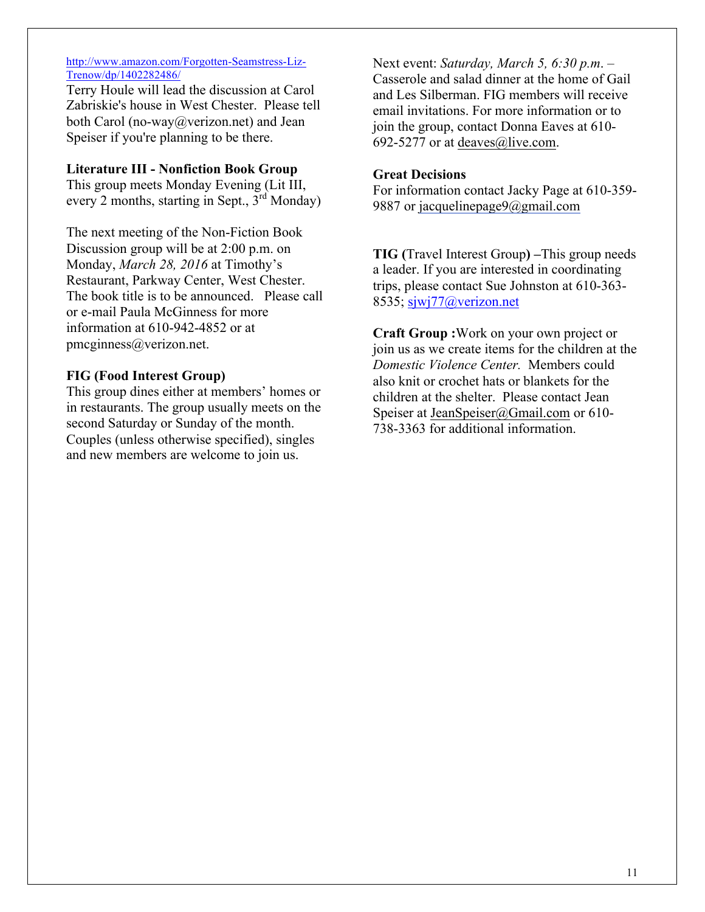#### http://www.amazon.com/Forgotten-Seamstress-Liz-Trenow/dp/1402282486/

Terry Houle will lead the discussion at Carol Zabriskie's house in West Chester. Please tell both Carol (no-way@verizon.net) and Jean Speiser if you're planning to be there.

### **Literature III - Nonfiction Book Group**

This group meets Monday Evening (Lit III, every 2 months, starting in Sept.,  $3<sup>rd</sup>$  Monday)

The next meeting of the Non-Fiction Book Discussion group will be at 2:00 p.m. on Monday, *March 28, 2016* at Timothy's Restaurant, Parkway Center, West Chester. The book title is to be announced. Please call or e-mail Paula McGinness for more information at 610-942-4852 or at pmcginness@verizon.net.

### **FIG (Food Interest Group)**

This group dines either at members' homes or in restaurants. The group usually meets on the second Saturday or Sunday of the month. Couples (unless otherwise specified), singles and new members are welcome to join us.

Next event: *Saturday, March 5, 6:30 p.m*. – Casserole and salad dinner at the home of Gail and Les Silberman. FIG members will receive email invitations. For more information or to join the group, contact Donna Eaves at 610- 692-5277 or at deaves@live.com.

#### **Great Decisions**

For information contact Jacky Page at 610-359- 9887 or jacquelinepage9@gmail.com

**TIG (**Travel Interest Group**) –**This group needs a leader. If you are interested in coordinating trips, please contact Sue Johnston at 610-363- 8535; sjwj77@verizon.net

**Craft Group :**Work on your own project or join us as we create items for the children at the *Domestic Violence Center.* Members could also knit or crochet hats or blankets for the children at the shelter. Please contact Jean Speiser at JeanSpeiser@Gmail.com or 610-738-3363 for additional information.